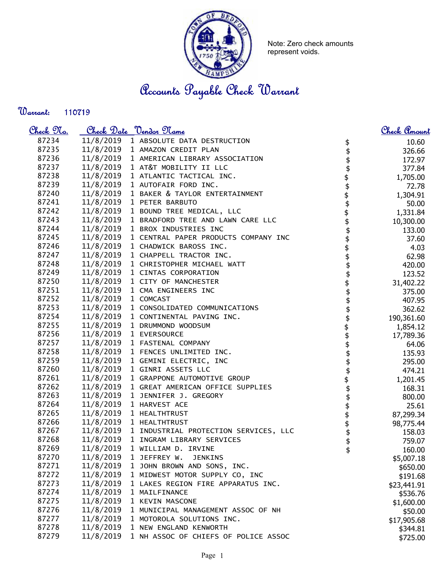

Note: Zero check amounts represent voids.

Accounts Payable Check Warrant

Warrant: 

| <u>Check 97a.</u> |           | <u>Check Date "Vendor Name</u>                  |                          | Check Amount |
|-------------------|-----------|-------------------------------------------------|--------------------------|--------------|
| 87234             | 11/8/2019 | 1 ABSOLUTE DATA DESTRUCTION                     | \$                       | 10.60        |
| 87235             | 11/8/2019 | 1 AMAZON CREDIT PLAN                            | \$                       | 326.66       |
| 87236             | 11/8/2019 | 1 AMERICAN LIBRARY ASSOCIATION                  |                          | 172.97       |
| 87237             | 11/8/2019 | 1 AT&T MOBILITY II LLC                          | \$                       | 377.84       |
| 87238             | 11/8/2019 | 1 ATLANTIC TACTICAL INC.                        |                          | 1,705.00     |
| 87239             | 11/8/2019 | 1 AUTOFAIR FORD INC.                            |                          | 72.78        |
| 87240             | 11/8/2019 | 1 BAKER & TAYLOR ENTERTAINMENT                  |                          | 1,304.91     |
| 87241             | 11/8/2019 | 1 PETER BARBUTO                                 |                          | 50.00        |
| 87242             | 11/8/2019 | 1 BOUND TREE MEDICAL, LLC                       |                          | 1,331.84     |
| 87243             | 11/8/2019 | 1 BRADFORD TREE AND LAWN CARE LLC               |                          | 10,300.00    |
| 87244             | 11/8/2019 | 1 BROX INDUSTRIES INC                           | \$\$\$\$\$\$\$\$\$\$\$\$ | 133.00       |
| 87245             | 11/8/2019 | 1 CENTRAL PAPER PRODUCTS COMPANY INC            |                          | 37.60        |
| 87246             | 11/8/2019 | 1 CHADWICK BAROSS INC.                          |                          | 4.03         |
| 87247             | 11/8/2019 | 1 CHAPPELL TRACTOR INC.                         |                          | 62.98        |
| 87248             | 11/8/2019 | 1 CHRISTOPHER MICHAEL WATT                      |                          | 420.00       |
| 87249             | 11/8/2019 | 1 CINTAS CORPORATION                            |                          | 123.52       |
| 87250             | 11/8/2019 | 1 CITY OF MANCHESTER                            |                          | 31,402.22    |
| 87251             | 11/8/2019 | 1 CMA ENGINEERS INC                             |                          | 375.00       |
| 87252             | 11/8/2019 | 1 COMCAST                                       |                          | 407.95       |
| 87253             | 11/8/2019 | 1 CONSOLIDATED COMMUNICATIONS                   |                          | 362.62       |
| 87254             | 11/8/2019 | 1 CONTINENTAL PAVING INC.                       |                          | 190,361.60   |
| 87255             | 11/8/2019 | 1 DRUMMOND WOODSUM                              | \$<br>\$                 | 1,854.12     |
| 87256             | 11/8/2019 | 1 EVERSOURCE                                    |                          | 17,789.36    |
| 87257             | 11/8/2019 | 1 FASTENAL COMPANY                              | \$\$\$                   | 64.06        |
| 87258             | 11/8/2019 | 1 FENCES UNLIMITED INC.                         |                          | 135.93       |
| 87259             | 11/8/2019 | 1 GEMINI ELECTRIC, INC                          |                          | 295.00       |
| 87260             | 11/8/2019 | 1 GINRI ASSETS LLC                              |                          | 474.21       |
| 87261             | 11/8/2019 | 1 GRAPPONE AUTOMOTIVE GROUP                     |                          | 1,201.45     |
| 87262             | 11/8/2019 | 1 GREAT AMERICAN OFFICE SUPPLIES                | $\frac{1}{2}$            | 168.31       |
| 87263             | 11/8/2019 | 1 JENNIFER J. GREGORY                           | \$                       | 800.00       |
| 87264             | 11/8/2019 | 1 HARVEST ACE                                   |                          | 25.61        |
| 87265             | 11/8/2019 | 1 HEALTHTRUST                                   |                          | 87,299.34    |
| 87266             | 11/8/2019 | 1 HEALTHTRUST                                   | \$\$\$\$                 | 98,775.44    |
| 87267             |           | 11/8/2019 1 INDUSTRIAL PROTECTION SERVICES, LLC |                          | 158.03       |
| 87268             | 11/8/2019 | 1 INGRAM LIBRARY SERVICES                       | \$                       | 759.07       |
| 87269             | 11/8/2019 | 1 WILLIAM D. IRVINE                             | \$                       | 160.00       |
| 87270             | 11/8/2019 | 1 JEFFREY W.<br><b>JENKINS</b>                  |                          | \$5,007.18   |
| 87271             | 11/8/2019 | 1 JOHN BROWN AND SONS, INC.                     |                          | \$650.00     |
| 87272             | 11/8/2019 | 1 MIDWEST MOTOR SUPPLY CO, INC                  |                          | \$191.68     |
| 87273             | 11/8/2019 | 1 LAKES REGION FIRE APPARATUS INC.              |                          | \$23,441.91  |
| 87274             | 11/8/2019 | 1 MAILFINANCE                                   |                          | \$536.76     |
| 87275             | 11/8/2019 | 1 KEVIN MASCONE                                 |                          | \$1,600.00   |
| 87276             | 11/8/2019 | 1 MUNICIPAL MANAGEMENT ASSOC OF NH              |                          | \$50.00      |
| 87277             | 11/8/2019 | 1 MOTOROLA SOLUTIONS INC.                       |                          | \$17,905.68  |
| 87278             | 11/8/2019 | 1 NEW ENGLAND KENWORTH                          |                          | \$344.81     |
| 87279             | 11/8/2019 | 1 NH ASSOC OF CHIEFS OF POLICE ASSOC            |                          |              |
|                   |           |                                                 |                          | \$725.00     |